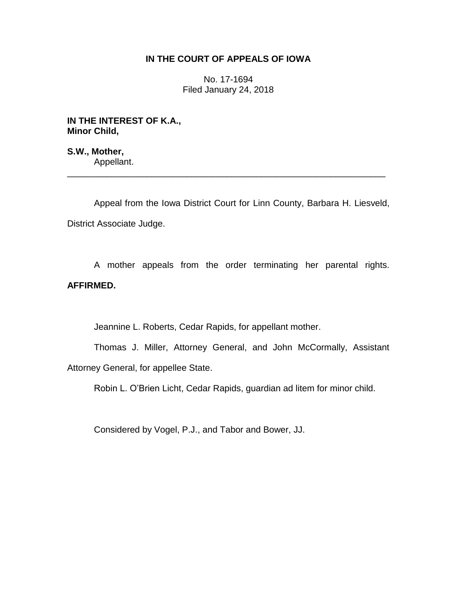# **IN THE COURT OF APPEALS OF IOWA**

No. 17-1694 Filed January 24, 2018

**IN THE INTEREST OF K.A., Minor Child,**

**S.W., Mother,** Appellant.

Appeal from the Iowa District Court for Linn County, Barbara H. Liesveld, District Associate Judge.

\_\_\_\_\_\_\_\_\_\_\_\_\_\_\_\_\_\_\_\_\_\_\_\_\_\_\_\_\_\_\_\_\_\_\_\_\_\_\_\_\_\_\_\_\_\_\_\_\_\_\_\_\_\_\_\_\_\_\_\_\_\_\_\_

A mother appeals from the order terminating her parental rights. **AFFIRMED.**

Jeannine L. Roberts, Cedar Rapids, for appellant mother.

Thomas J. Miller, Attorney General, and John McCormally, Assistant Attorney General, for appellee State.

Robin L. O'Brien Licht, Cedar Rapids, guardian ad litem for minor child.

Considered by Vogel, P.J., and Tabor and Bower, JJ.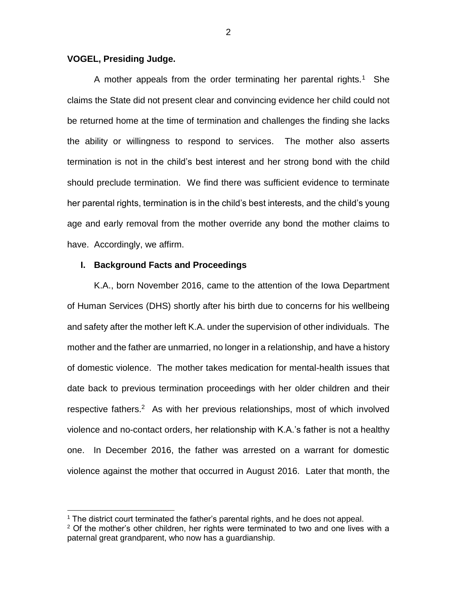## **VOGEL, Presiding Judge.**

 $\overline{a}$ 

A mother appeals from the order terminating her parental rights.<sup>1</sup> She claims the State did not present clear and convincing evidence her child could not be returned home at the time of termination and challenges the finding she lacks the ability or willingness to respond to services. The mother also asserts termination is not in the child's best interest and her strong bond with the child should preclude termination. We find there was sufficient evidence to terminate her parental rights, termination is in the child's best interests, and the child's young age and early removal from the mother override any bond the mother claims to have. Accordingly, we affirm.

### **I. Background Facts and Proceedings**

K.A., born November 2016, came to the attention of the Iowa Department of Human Services (DHS) shortly after his birth due to concerns for his wellbeing and safety after the mother left K.A. under the supervision of other individuals. The mother and the father are unmarried, no longer in a relationship, and have a history of domestic violence. The mother takes medication for mental-health issues that date back to previous termination proceedings with her older children and their respective fathers.<sup>2</sup> As with her previous relationships, most of which involved violence and no-contact orders, her relationship with K.A.'s father is not a healthy one. In December 2016, the father was arrested on a warrant for domestic violence against the mother that occurred in August 2016. Later that month, the

<sup>&</sup>lt;sup>1</sup> The district court terminated the father's parental rights, and he does not appeal.

 $2$  Of the mother's other children, her rights were terminated to two and one lives with a paternal great grandparent, who now has a guardianship.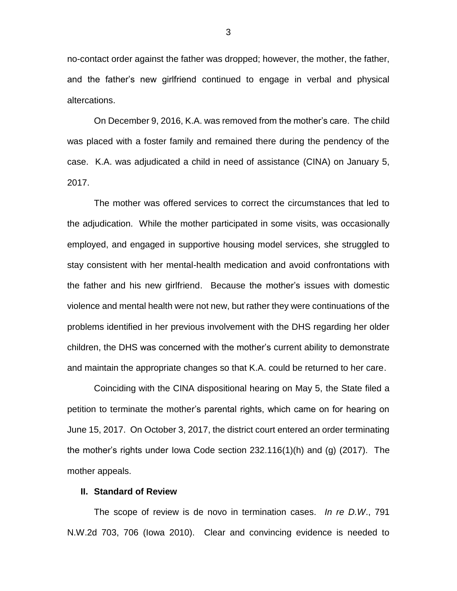no-contact order against the father was dropped; however, the mother, the father, and the father's new girlfriend continued to engage in verbal and physical altercations.

On December 9, 2016, K.A. was removed from the mother's care. The child was placed with a foster family and remained there during the pendency of the case. K.A. was adjudicated a child in need of assistance (CINA) on January 5, 2017.

The mother was offered services to correct the circumstances that led to the adjudication. While the mother participated in some visits, was occasionally employed, and engaged in supportive housing model services, she struggled to stay consistent with her mental-health medication and avoid confrontations with the father and his new girlfriend. Because the mother's issues with domestic violence and mental health were not new, but rather they were continuations of the problems identified in her previous involvement with the DHS regarding her older children, the DHS was concerned with the mother's current ability to demonstrate and maintain the appropriate changes so that K.A. could be returned to her care.

Coinciding with the CINA dispositional hearing on May 5, the State filed a petition to terminate the mother's parental rights, which came on for hearing on June 15, 2017. On October 3, 2017, the district court entered an order terminating the mother's rights under Iowa Code section 232.116(1)(h) and (g) (2017). The mother appeals.

#### **II. Standard of Review**

The scope of review is de novo in termination cases. *In re D.W*., 791 N.W.2d 703, 706 (Iowa 2010). Clear and convincing evidence is needed to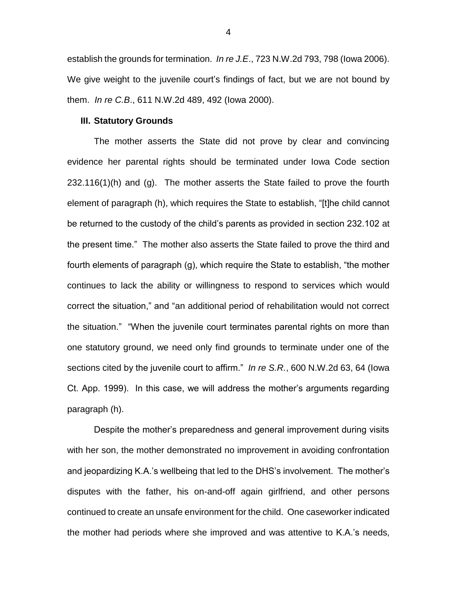establish the grounds for termination. *In re J.E*., 723 N.W.2d 793, 798 (Iowa 2006). We give weight to the juvenile court's findings of fact, but we are not bound by them. *In re C.B*., 611 N.W.2d 489, 492 (Iowa 2000).

#### **III. Statutory Grounds**

The mother asserts the State did not prove by clear and convincing evidence her parental rights should be terminated under Iowa Code section  $232.116(1)$ (h) and (g). The mother asserts the State failed to prove the fourth element of paragraph (h), which requires the State to establish, "[t]he child cannot be returned to the custody of the child's parents as provided in section 232.102 at the present time." The mother also asserts the State failed to prove the third and fourth elements of paragraph (g), which require the State to establish, "the mother continues to lack the ability or willingness to respond to services which would correct the situation," and "an additional period of rehabilitation would not correct the situation." "When the juvenile court terminates parental rights on more than one statutory ground, we need only find grounds to terminate under one of the sections cited by the juvenile court to affirm." *In re S.R.*, 600 N.W.2d 63, 64 (Iowa Ct. App. 1999). In this case, we will address the mother's arguments regarding paragraph (h).

Despite the mother's preparedness and general improvement during visits with her son, the mother demonstrated no improvement in avoiding confrontation and jeopardizing K.A.'s wellbeing that led to the DHS's involvement. The mother's disputes with the father, his on-and-off again girlfriend, and other persons continued to create an unsafe environment for the child. One caseworker indicated the mother had periods where she improved and was attentive to K.A.'s needs,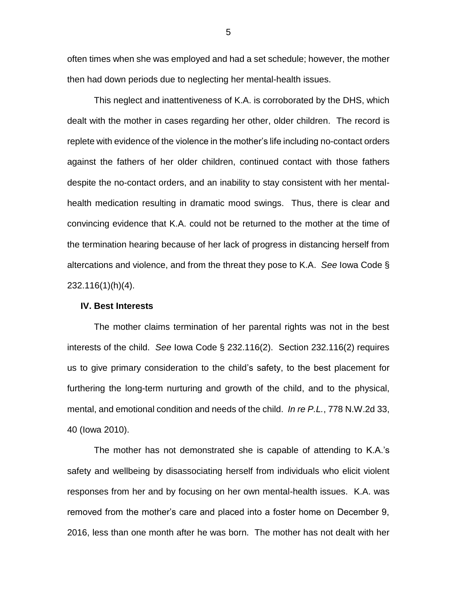often times when she was employed and had a set schedule; however, the mother then had down periods due to neglecting her mental-health issues.

This neglect and inattentiveness of K.A. is corroborated by the DHS, which dealt with the mother in cases regarding her other, older children. The record is replete with evidence of the violence in the mother's life including no-contact orders against the fathers of her older children, continued contact with those fathers despite the no-contact orders, and an inability to stay consistent with her mentalhealth medication resulting in dramatic mood swings. Thus, there is clear and convincing evidence that K.A. could not be returned to the mother at the time of the termination hearing because of her lack of progress in distancing herself from altercations and violence, and from the threat they pose to K.A. *See* Iowa Code § 232.116(1)(h)(4).

#### **IV. Best Interests**

The mother claims termination of her parental rights was not in the best interests of the child. *See* Iowa Code § 232.116(2). Section 232.116(2) requires us to give primary consideration to the child's safety, to the best placement for furthering the long-term nurturing and growth of the child, and to the physical, mental, and emotional condition and needs of the child. *In re P.L.*, 778 N.W.2d 33, 40 (Iowa 2010).

The mother has not demonstrated she is capable of attending to K.A.'s safety and wellbeing by disassociating herself from individuals who elicit violent responses from her and by focusing on her own mental-health issues. K.A. was removed from the mother's care and placed into a foster home on December 9, 2016, less than one month after he was born. The mother has not dealt with her

5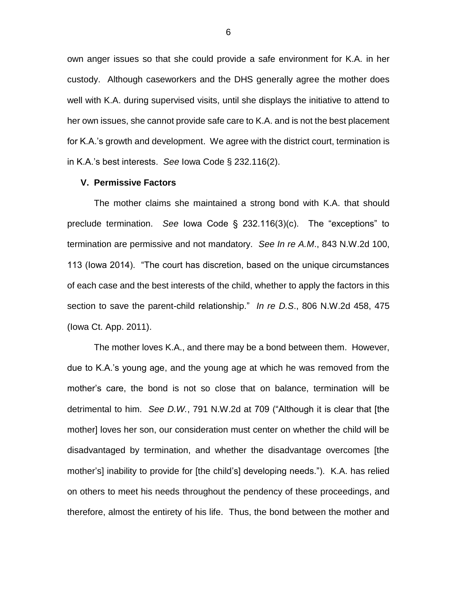own anger issues so that she could provide a safe environment for K.A. in her custody. Although caseworkers and the DHS generally agree the mother does well with K.A. during supervised visits, until she displays the initiative to attend to her own issues, she cannot provide safe care to K.A. and is not the best placement for K.A.'s growth and development. We agree with the district court, termination is in K.A.'s best interests. *See* Iowa Code § 232.116(2).

## **V. Permissive Factors**

The mother claims she maintained a strong bond with K.A. that should preclude termination. *See* Iowa Code § 232.116(3)(c). The "exceptions" to termination are permissive and not mandatory. *See In re A.M*., 843 N.W.2d 100, 113 (Iowa 2014). "The court has discretion, based on the unique circumstances of each case and the best interests of the child, whether to apply the factors in this section to save the parent-child relationship." *In re D.S*., 806 N.W.2d 458, 475 (Iowa Ct. App. 2011).

The mother loves K.A., and there may be a bond between them. However, due to K.A.'s young age, and the young age at which he was removed from the mother's care, the bond is not so close that on balance, termination will be detrimental to him. *See D.W.*, 791 N.W.2d at 709 ("Although it is clear that [the mother] loves her son, our consideration must center on whether the child will be disadvantaged by termination, and whether the disadvantage overcomes [the mother's] inability to provide for [the child's] developing needs."). K.A. has relied on others to meet his needs throughout the pendency of these proceedings, and therefore, almost the entirety of his life. Thus, the bond between the mother and